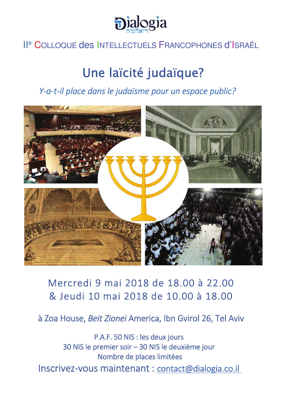

# II<sup>e</sup> COLLOQUE des INTELLECTUELS FRANCOPHONES d'ISRAËL

# Une laïcité judaïque?

Y-a-t-il place dans le judaïsme pour un espace public?



# Mercredi 9 mai 2018 de 18.00 à 22.00 & Jeudi 10 mai 2018 de 10.00 à 18.00

à Zoa House, Beit Zionei America, Ibn Gvirol 26, Tel Aviv

P.A.F. 50 NIS : les deux jours 30 NIS le premier soir - 30 NIS le deuxième jour Nombre de places limitées Inscrivez-vous maintenant : contact@dialogia.co.il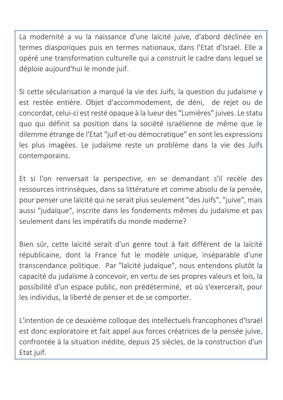La modernité a vu la naissance d'une laïcité juive, d'abord déclinée en termes diasporiques puis en termes nationaux, dans l'Etat d'Israël. Elle a opéré une transformation culturelle qui a construit le cadre dans lequel se déploie aujourd'hui le monde juif.

Si cette sécularisation a marqué la vie des Juifs, la question du judaïsme y est restée entière. Objet d'accommodement, de déni, de rejet ou de concordat, celui-ci est resté opaque à la lueur des "Lumières" juives. Le statu quo qui définit sa position dans la société israélienne de même que le dilemme étrange de l'Etat "juif et-ou démocratique" en sont les expressions les plus imagées. Le judaïsme reste un problème dans la vie des Juifs contemporains.

Et si l'on renversait la perspective, en se demandant s'il recèle des ressources intrinsèques, dans sa littérature et comme absolu de la pensée, pour penser une laïcité qui ne serait plus seulement "des Juifs", "juive", mais aussi "judaïque", inscrite dans les fondements mêmes du judaïsme et pas seulement dans les impératifs du monde moderne?

Bien sûr, cette laïcité serait d'un genre tout à fait différent de la laïcité républicaine, dont la France fut le modèle unique, inséparable d'une transcendance politique. Par "laïcité judaïque", nous entendons plutôt la capacité du judaïsme à concevoir, en vertu de ses propres valeurs et lois, la possibilité d'un espace public, non prédéterminé, et où s'exercerait, pour les individus, la liberté de penser et de se comporter.

L'intention de ce deuxième colloque des intellectuels francophones d'Israël est donc exploratoire et fait appel aux forces créatrices de la pensée juive, confrontée à la situation inédite, depuis 25 siècles, de la construction d'un Etat juif.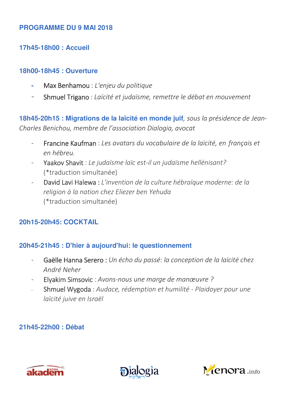#### **PROGRAMME DU 9 MAI 2018**

#### **17h45-18h00 : Accueil**

#### **18h00-18h45 : Ouverture**

- Max Benhamou : L'enjeu du politique
- Shmuel Trigano: Laïcité et judaïsme, remettre le débat en mouvement

18h45-20h15 : Migrations de la laïcité en monde juif, sous la présidence de Jean-*Charles Benichou, membre de l'association Dialogia, avocat* 

- Francine Kaufman : Les avatars du vocabulaire de la laïcité, en français et  *&*
- Yaakov Shavit: Le judaïsme laïc est-il un judaïsme hellénisant? (\*traduction simultanée)
- David Lavi Halewa: L'invention de la culture hébraïque moderne: de la religion à la nation chez Eliezer ben Yehuda (\*traduction simultanée)

## **20h15-20h45: COCKTAIL**

#### **20h45-21h45 : D'hier à aujourd'hui: le questionnement**

- Gaëlle Hanna Serero: Un écho du passé: la conception de la laïcité chez André Neher
- Elyakim Simsovic: Avons-nous une marge de manœuvre ?
- Shmuel Wygoda: Audace, rédemption et humilité Plaidoyer pour une *laïcité juive en Israël*

## **21h45-22h00 : Débat**





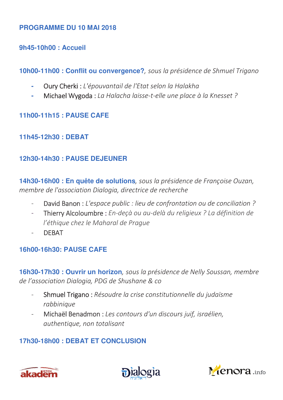#### PROGRAMME DU 10 MAI 2018

9h45-10h00: Accueil

10h00-11h00 : Conflit ou convergence?, sous la présidence de Shmuel Trigano

- Oury Cherki : L'épouvantail de l'Etat selon la Halakha i.
- Michael Wygoda : La Halacha laisse-t-elle une place à la Knesset ? i.

# **11h00-11h15: PAUSE CAFE**

11h45-12h30: DEBAT

## 12h30-14h30: PAUSE DEJEUNER

14h30-16h00 : En quête de solutions, sous la présidence de Françoise Ouzan, membre de l'association Dialogia, directrice de recherche

- David Banon : L'espace public : lieu de confrontation ou de conciliation ?  $\bar{\mathcal{L}}$
- Thierry Alcoloumbre : En-deçà ou au-delà du religieux ? La définition de l'éthique chez le Maharal de Praque
- **DFRAT**  $\omega_{\rm{max}}$

# 16h00-16h30: PAUSE CAFE

16h30-17h30 : Ouvrir un horizon, sous la présidence de Nelly Soussan, membre de l'association Dialogia, PDG de Shushane & co

- Shmuel Trigano: Résoudre la crise constitutionnelle du judaïsme rabbinique
- Michaël Benadmon : Les contours d'un discours juif, israélien, authentique, non totalisant

# 17h30-18h00: DEBAT ET CONCLUSION





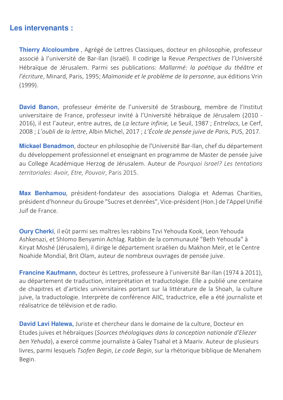#### **Les intervenants:**

Thierry Alcoloumbre, Agrégé de Lettres Classiques, docteur en philosophie, professeur associé à l'université de Bar-Ilan (Israël). Il codirige la Revue Perspectives de l'Université Hébraïque de Jérusalem. Parmi ses publications: Mallarmé: la poétique du théâtre et l'écriture, Minard, Paris, 1995; Maïmonide et le problème de la personne, aux éditions Vrin  $(1999).$ 

David Banon, professeur émérite de l'université de Strasbourg, membre de l'Institut universitaire de France, professeur invité à l'Université hébraïque de Jérusalem (2010 -2016), il est l'auteur, entre autres, de La lecture infinie, Le Seuil, 1987 ; Entrelacs, Le Cerf, 2008 ; L'oubli de la lettre, Albin Michel, 2017 ; L'École de pensée juive de Paris, PUS, 2017.

Mickael Benadmon, docteur en philosophie de l'Université Bar-Ilan, chef du département du développement professionnel et enseignant en programme de Master de pensée juive au College Académique Herzog de Jérusalem. Auteur de Pourquoi Israel? Les tentations territoriales: Avoir, Etre, Pouvoir, Paris 2015.

Max Benhamou, président-fondateur des associations Dialogia et Ademas Charities, président d'honneur du Groupe "Sucres et denrées", Vice-président (Hon.) de l'Appel Unifié Juif de France.

**Oury Cherki**, il eût parmi ses maîtres les rabbins Tzvi Yehouda Kook, Leon Yehouda Ashkenazi, et Shlomo Benyamin Achlag. Rabbin de la communauté "Beth Yehouda" à Kiryat Moshé (Jérusalem), il dirige le département israélien du Makhon Meïr, et le Centre Noahide Mondial, Brit Olam, auteur de nombreux ouvrages de pensée juive.

Francine Kaufmann, docteur ès Lettres, professeure à l'université Bar-Ilan (1974 à 2011), au département de traduction, interprétation et traductologie. Elle a publié une centaine de chapitres et d'articles universitaires portant sur la littérature de la Shoah, la culture juive, la traductologie. Interprète de conférence AIIC, traductrice, elle a été journaliste et réalisatrice de télévision et de radio.

David Lavi Halewa, Juriste et chercheur dans le domaine de la culture, Docteur en Etudes juives et hébraïques (Sources théologiques dans la conception nationale d'Eliezer ben Yehuda), a exercé comme journaliste à Galey Tsahal et à Maariv. Auteur de plusieurs livres, parmi lesquels Tsofen Begin, Le code Begin, sur la rhétorique biblique de Menahem Begin.